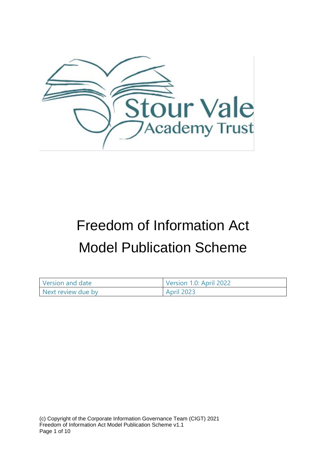

# Freedom of Information Act Model Publication Scheme

| Version and date   | Version 1.0: April 2022 |
|--------------------|-------------------------|
| Next review due by | <b>April 2023</b>       |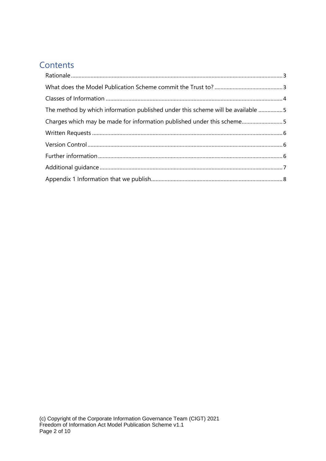## **Contents**

| The method by which information published under this scheme will be available 5 |  |
|---------------------------------------------------------------------------------|--|
|                                                                                 |  |
|                                                                                 |  |
|                                                                                 |  |
|                                                                                 |  |
|                                                                                 |  |
|                                                                                 |  |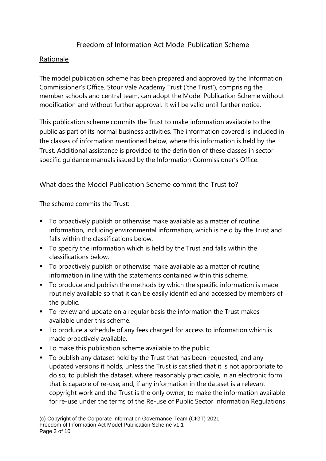#### Freedom of Information Act Model Publication Scheme

#### <span id="page-2-0"></span>Rationale

The model publication scheme has been prepared and approved by the Information Commissioner's Office. Stour Vale Academy Trust ('the Trust'), comprising the member schools and central team, can adopt the Model Publication Scheme without modification and without further approval. It will be valid until further notice.

This publication scheme commits the Trust to make information available to the public as part of its normal business activities. The information covered is included in the classes of information mentioned below, where this information is held by the Trust. Additional assistance is provided to the definition of these classes in sector specific guidance manuals issued by the Information Commissioner's Office.

#### <span id="page-2-1"></span>What does the Model Publication Scheme commit the Trust to?

The scheme commits the Trust:

- To proactively publish or otherwise make available as a matter of routine, information, including environmental information, which is held by the Trust and falls within the classifications below.
- To specify the information which is held by the Trust and falls within the classifications below.
- To proactively publish or otherwise make available as a matter of routine, information in line with the statements contained within this scheme.
- To produce and publish the methods by which the specific information is made routinely available so that it can be easily identified and accessed by members of the public.
- To review and update on a regular basis the information the Trust makes available under this scheme.
- To produce a schedule of any fees charged for access to information which is made proactively available.
- To make this publication scheme available to the public.
- To publish any dataset held by the Trust that has been requested, and any updated versions it holds, unless the Trust is satisfied that it is not appropriate to do so; to publish the dataset, where reasonably practicable, in an electronic form that is capable of re-use; and, if any information in the dataset is a relevant copyright work and the Trust is the only owner, to make the information available for re-use under the terms of the Re-use of Public Sector Information Regulations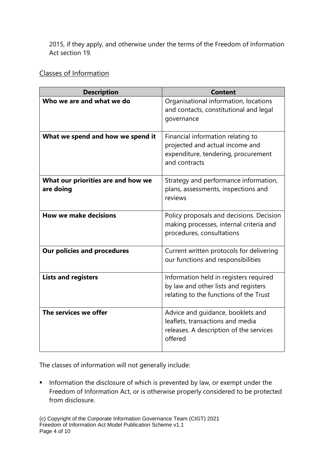2015, if they apply, and otherwise under the terms of the Freedom of Information Act section 19.

<span id="page-3-0"></span>Classes of Information

| <b>Description</b>                              | <b>Content</b>                                                                                                               |
|-------------------------------------------------|------------------------------------------------------------------------------------------------------------------------------|
| Who we are and what we do                       | Organisational information, locations<br>and contacts, constitutional and legal<br>governance                                |
| What we spend and how we spend it               | Financial information relating to<br>projected and actual income and<br>expenditure, tendering, procurement<br>and contracts |
| What our priorities are and how we<br>are doing | Strategy and performance information,<br>plans, assessments, inspections and<br>reviews                                      |
| <b>How we make decisions</b>                    | Policy proposals and decisions. Decision<br>making processes, internal criteria and<br>procedures, consultations             |
| <b>Our policies and procedures</b>              | Current written protocols for delivering<br>our functions and responsibilities                                               |
| <b>Lists and registers</b>                      | Information held in registers required<br>by law and other lists and registers<br>relating to the functions of the Trust     |
| The services we offer                           | Advice and guidance, booklets and<br>leaflets, transactions and media<br>releases. A description of the services<br>offered  |

The classes of information will not generally include:

**·** Information the disclosure of which is prevented by law, or exempt under the Freedom of Information Act, or is otherwise properly considered to be protected from disclosure.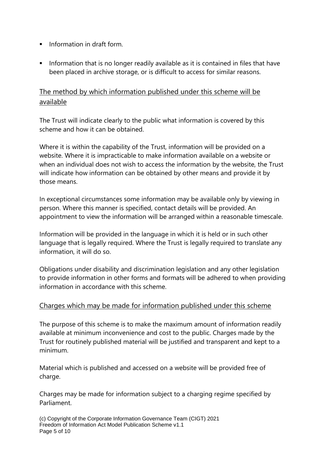- $\blacksquare$  Information in draft form.
- Information that is no longer readily available as it is contained in files that have been placed in archive storage, or is difficult to access for similar reasons.

#### <span id="page-4-0"></span>The method by which information published under this scheme will be available

The Trust will indicate clearly to the public what information is covered by this scheme and how it can be obtained.

Where it is within the capability of the Trust, information will be provided on a website. Where it is impracticable to make information available on a website or when an individual does not wish to access the information by the website, the Trust will indicate how information can be obtained by other means and provide it by those means.

In exceptional circumstances some information may be available only by viewing in person. Where this manner is specified, contact details will be provided. An appointment to view the information will be arranged within a reasonable timescale.

Information will be provided in the language in which it is held or in such other language that is legally required. Where the Trust is legally required to translate any information, it will do so.

Obligations under disability and discrimination legislation and any other legislation to provide information in other forms and formats will be adhered to when providing information in accordance with this scheme.

#### <span id="page-4-1"></span>Charges which may be made for information published under this scheme

The purpose of this scheme is to make the maximum amount of information readily available at minimum inconvenience and cost to the public. Charges made by the Trust for routinely published material will be justified and transparent and kept to a minimum.

Material which is published and accessed on a website will be provided free of charge.

Charges may be made for information subject to a charging regime specified by Parliament.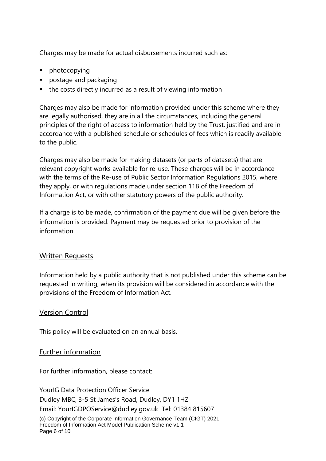Charges may be made for actual disbursements incurred such as:

- photocopying
- postage and packaging
- the costs directly incurred as a result of viewing information

Charges may also be made for information provided under this scheme where they are legally authorised, they are in all the circumstances, including the general principles of the right of access to information held by the Trust, justified and are in accordance with a published schedule or schedules of fees which is readily available to the public.

Charges may also be made for making datasets (or parts of datasets) that are relevant copyright works available for re-use. These charges will be in accordance with the terms of the Re-use of Public Sector Information Regulations 2015, where they apply, or with regulations made under section 11B of the Freedom of Information Act, or with other statutory powers of the public authority.

If a charge is to be made, confirmation of the payment due will be given before the information is provided. Payment may be requested prior to provision of the information.

#### <span id="page-5-0"></span>Written Requests

Information held by a public authority that is not published under this scheme can be requested in writing, when its provision will be considered in accordance with the provisions of the Freedom of Information Act.

#### <span id="page-5-1"></span>Version Control

This policy will be evaluated on an annual basis.

#### <span id="page-5-2"></span>Further information

For further information, please contact:

(c) Copyright of the Corporate Information Governance Team (CIGT) 2021 Freedom of Information Act Model Publication Scheme v1.1 Page 6 of 10 YourIG Data Protection Officer Service Dudley MBC, 3-5 St James's Road, Dudley, DY1 1HZ Email: [YourIGDPOService@dudley.gov.uk](mailto:YourIGDPOService@dudley.gov.uk) Tel: 01384 815607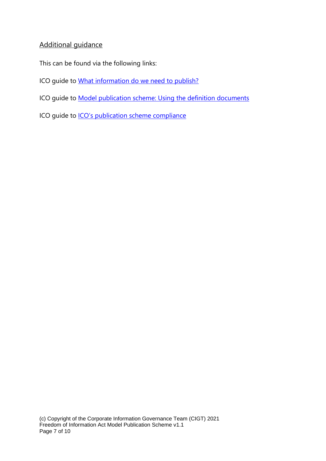#### <span id="page-6-0"></span>Additional guidance

This can be found via the following links:

ICO guide to [What information do we need to publish?](https://ico.org.uk/for-organisations/guide-to-freedom-of-information/publication-scheme/)

ICO guide to [Model publication scheme: Using the definition documents](https://ico.org.uk/media/for-organisations/documents/1157/usingthedefinitiondocuments.pdf)

ICO guide to *[ICO's publication scheme compliance](https://ico.org.uk/global/icos-publication-scheme-compliance/)*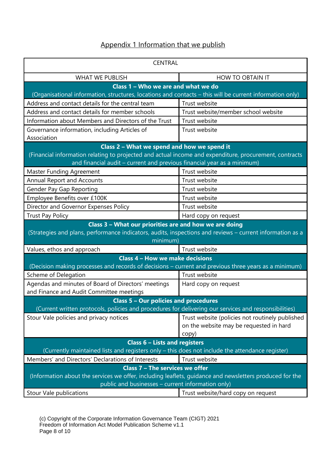### Appendix 1 Information that we publish

<span id="page-7-0"></span>

| <b>CENTRAL</b>                                                                                                                                                                                         |                                                                                                     |  |
|--------------------------------------------------------------------------------------------------------------------------------------------------------------------------------------------------------|-----------------------------------------------------------------------------------------------------|--|
| <b>WHAT WE PUBLISH</b>                                                                                                                                                                                 | HOW TO OBTAIN IT                                                                                    |  |
| Class 1 - Who we are and what we do                                                                                                                                                                    |                                                                                                     |  |
| (Organisational information, structures, locations and contacts - this will be current information only)                                                                                               |                                                                                                     |  |
| Address and contact details for the central team                                                                                                                                                       | Trust website                                                                                       |  |
| Address and contact details for member schools                                                                                                                                                         | Trust website/member school website                                                                 |  |
| Information about Members and Directors of the Trust                                                                                                                                                   | Trust website                                                                                       |  |
| Governance information, including Articles of<br>Association                                                                                                                                           | Trust website                                                                                       |  |
| Class 2 - What we spend and how we spend it                                                                                                                                                            |                                                                                                     |  |
| (Financial information relating to projected and actual income and expenditure, procurement, contracts                                                                                                 |                                                                                                     |  |
| and financial audit - current and previous financial year as a minimum)                                                                                                                                |                                                                                                     |  |
| <b>Master Funding Agreement</b>                                                                                                                                                                        | Trust website                                                                                       |  |
| <b>Annual Report and Accounts</b>                                                                                                                                                                      | Trust website                                                                                       |  |
| Gender Pay Gap Reporting                                                                                                                                                                               | Trust website                                                                                       |  |
| Employee Benefits over £100K                                                                                                                                                                           | Trust website                                                                                       |  |
| Director and Governor Expenses Policy                                                                                                                                                                  | Trust website                                                                                       |  |
| <b>Trust Pay Policy</b>                                                                                                                                                                                | Hard copy on request                                                                                |  |
| Class 3 - What our priorities are and how we are doing<br>(Strategies and plans, performance indicators, audits, inspections and reviews - current information as a                                    |                                                                                                     |  |
| minimum)<br>Values, ethos and approach                                                                                                                                                                 | Trust website                                                                                       |  |
| Class 4 - How we make decisions                                                                                                                                                                        |                                                                                                     |  |
| (Decision making processes and records of decisions - current and previous three years as a minimum)                                                                                                   |                                                                                                     |  |
| Scheme of Delegation                                                                                                                                                                                   | Trust website                                                                                       |  |
| Agendas and minutes of Board of Directors' meetings                                                                                                                                                    | Hard copy on request                                                                                |  |
| and Finance and Audit Committee meetings                                                                                                                                                               |                                                                                                     |  |
| <b>Class 5 - Our policies and procedures</b>                                                                                                                                                           |                                                                                                     |  |
| (Current written protocols, policies and procedures for delivering our services and responsibilities)                                                                                                  |                                                                                                     |  |
| Stour Vale policies and privacy notices                                                                                                                                                                | Trust website (policies not routinely published<br>on the website may be requested in hard<br>copy) |  |
| <b>Class 6 - Lists and registers</b>                                                                                                                                                                   |                                                                                                     |  |
| (Currently maintained lists and registers only - this does not include the attendance register)                                                                                                        |                                                                                                     |  |
| Members' and Directors' Declarations of Interests                                                                                                                                                      | Trust website                                                                                       |  |
| <b>Class 7 - The services we offer</b><br>(Information about the services we offer, including leaflets, guidance and newsletters produced for the<br>public and businesses - current information only) |                                                                                                     |  |
| Stour Vale publications                                                                                                                                                                                | Trust website/hard copy on request                                                                  |  |

(c) Copyright of the Corporate Information Governance Team (CIGT) 2021 Freedom of Information Act Model Publication Scheme v1.1 Page 8 of 10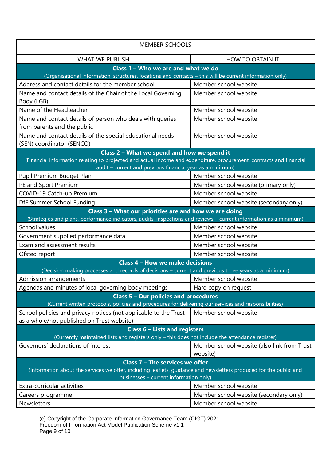| <b>MEMBER SCHOOLS</b>                                                                                                                                                                                  |                                                         |  |  |
|--------------------------------------------------------------------------------------------------------------------------------------------------------------------------------------------------------|---------------------------------------------------------|--|--|
| <b>WHAT WE PUBLISH</b>                                                                                                                                                                                 | <b>HOW TO OBTAIN IT</b>                                 |  |  |
| Class 1 - Who we are and what we do<br>(Organisational information, structures, locations and contacts - this will be current information only)                                                        |                                                         |  |  |
| Address and contact details for the member school                                                                                                                                                      | Member school website                                   |  |  |
| Name and contact details of the Chair of the Local Governing<br>Body (LGB)                                                                                                                             | Member school website                                   |  |  |
| Name of the Headteacher                                                                                                                                                                                | Member school website                                   |  |  |
| Name and contact details of person who deals with queries<br>from parents and the public                                                                                                               | Member school website                                   |  |  |
| Name and contact details of the special educational needs<br>(SEN) coordinator (SENCO)                                                                                                                 | Member school website                                   |  |  |
| Class 2 - What we spend and how we spend it                                                                                                                                                            |                                                         |  |  |
| (Financial information relating to projected and actual income and expenditure, procurement, contracts and financial<br>audit - current and previous financial year as a minimum)                      |                                                         |  |  |
| Pupil Premium Budget Plan                                                                                                                                                                              | Member school website                                   |  |  |
| PE and Sport Premium                                                                                                                                                                                   | Member school website (primary only)                    |  |  |
| COVID-19 Catch-up Premium                                                                                                                                                                              | Member school website                                   |  |  |
| DfE Summer School Funding                                                                                                                                                                              | Member school website (secondary only)                  |  |  |
| Class 3 - What our priorities are and how we are doing<br>(Strategies and plans, performance indicators, audits, inspections and reviews - current information as a minimum)                           |                                                         |  |  |
| School values                                                                                                                                                                                          | Member school website                                   |  |  |
| Government supplied performance data                                                                                                                                                                   | Member school website                                   |  |  |
| Exam and assessment results                                                                                                                                                                            | Member school website                                   |  |  |
| Ofsted report                                                                                                                                                                                          | Member school website                                   |  |  |
| <b>Class 4 - How we make decisions</b><br>(Decision making processes and records of decisions - current and previous three years as a minimum)                                                         |                                                         |  |  |
| Admission arrangements                                                                                                                                                                                 | Member school website                                   |  |  |
| Agendas and minutes of local governing body meetings                                                                                                                                                   | Hard copy on request                                    |  |  |
| <b>Class 5 - Our policies and procedures</b><br>(Current written protocols, policies and procedures for delivering our services and responsibilities)                                                  |                                                         |  |  |
| School policies and privacy notices (not applicable to the Trust<br>as a whole/not published on Trust website)                                                                                         | Member school website                                   |  |  |
| <b>Class 6 - Lists and registers</b>                                                                                                                                                                   |                                                         |  |  |
| (Currently maintained lists and registers only - this does not include the attendance register)                                                                                                        |                                                         |  |  |
| Governors' declarations of interest                                                                                                                                                                    | Member school website (also link from Trust<br>website) |  |  |
| <b>Class 7 - The services we offer</b><br>(Information about the services we offer, including leaflets, guidance and newsletters produced for the public and<br>businesses - current information only) |                                                         |  |  |
| Extra-curricular activities                                                                                                                                                                            | Member school website                                   |  |  |
| Careers programme                                                                                                                                                                                      | Member school website (secondary only)                  |  |  |
| <b>Newsletters</b>                                                                                                                                                                                     | Member school website                                   |  |  |